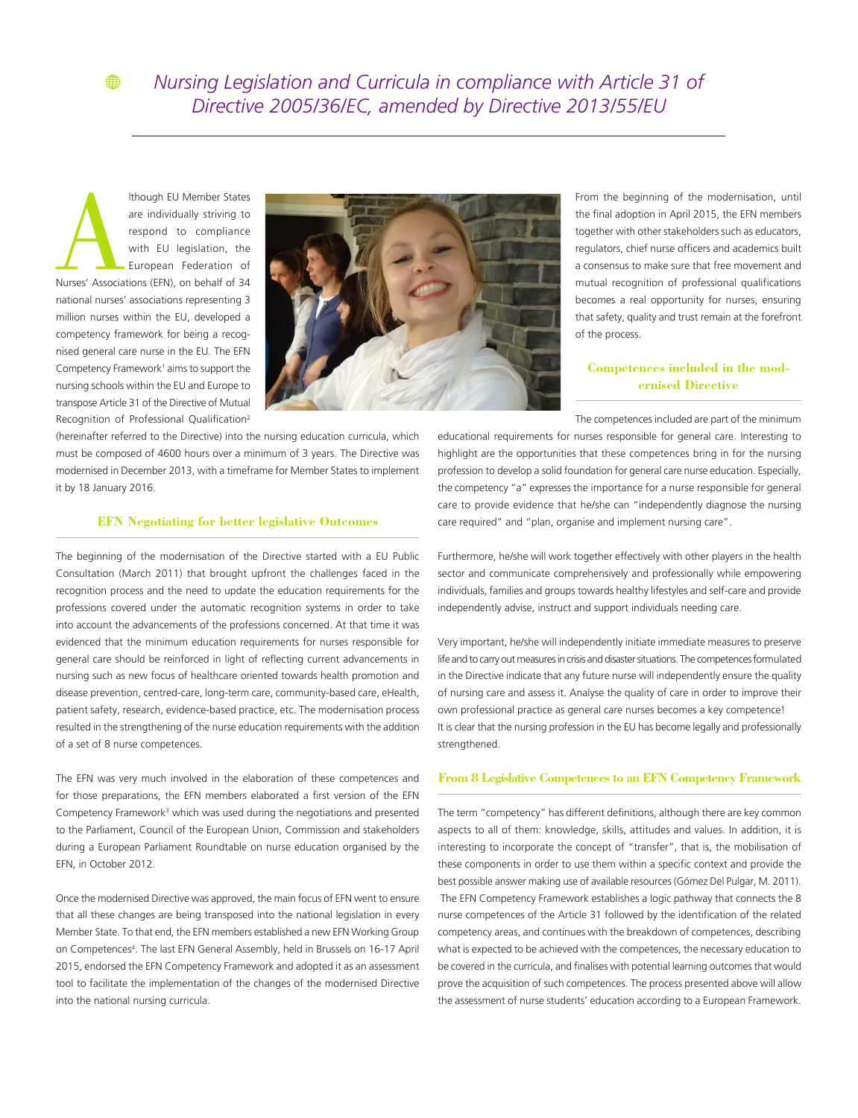Ithough EU Member States<br>
are individually striving to<br>
respond to compliance<br>
with EU legislation, the<br>
European Federation of<br>
Nurses' Associations (EFN), on behalf of 34 are individually striving to respond to compliance with EU legislation, the European Federation of national nurses' associations representing 3 million nurses within the EU, developed a competency framework for being a recognised general care nurse in the EU. The EFN Competency Framework<sup>1</sup> aims to support the nursing schools within the EU and Europe to transpose Article 31 of the Directive of Mutual Recognition of Professional Qualification2

⊕



(hereinafter referred to the Directive) into the nursing education curricula, which must be composed of 4600 hours over a minimum of 3 years. The Directive was modernised in December 2013, with a timeframe for Member States to implement it by 18 January 2016.

## **EFN Negotiating for better legislative Outcomes**

The beginning of the modernisation of the Directive started with a EU Public Consultation (March 2011) that brought upfront the challenges faced in the recognition process and the need to update the education requirements for the professions covered under the automatic recognition systems in order to take into account the advancements of the professions concerned. At that time it was evidenced that the minimum education requirements for nurses responsible for general care should be reinforced in light of reflecting current advancements in nursing such as new focus of healthcare oriented towards health promotion and disease prevention, centred-care, long-term care, community-based care, eHealth, patient safety, research, evidence-based practice, etc. The modernisation process resulted in the strengthening of the nurse education requirements with the addition of a set of 8 nurse competences.

The EFN was very much involved in the elaboration of these competences and for those preparations, the EFN members elaborated a first version of the EFN Competency Framework<sup>3</sup> which was used during the negotiations and presented to the Parliament, Council of the European Union, Commission and stakeholders during a European Parliament Roundtable on nurse education organised by the EFN, in October 2012.

Once the modernised Directive was approved, the main focus of EFN went to ensure that all these changes are being transposed into the national legislation in every Member State. To that end, the EFN members established a new EFN Working Group on Competences<sup>4</sup>. The last EFN General Assembly, held in Brussels on 16-17 April 2015, endorsed the EFN Competency Framework and adopted it as an assessment tool to facilitate the implementation of the changes of the modernised Directive into the national nursing curricula.

From the beginning of the modernisation, until the final adoption in April 2015, the EFN members together with other stakeholders such as educators, regulators, chief nurse officers and academics built a consensus to make sure that free movement and mutual recognition of professional qualifications becomes a real opportunity for nurses, ensuring that safety, quality and trust remain at the forefront of the process.

## **Competences included in the modernised Directive**

The competences included are part of the minimum

educational requirements for nurses responsible for general care. Interesting to highlight are the opportunities that these competences bring in for the nursing profession to develop a solid foundation for general care nurse education. Especially, the competency "a" expresses the importance for a nurse responsible for general care to provide evidence that he/she can "independently diagnose the nursing care required" and "plan, organise and implement nursing care".

Furthermore, he/she will work together effectively with other players in the health sector and communicate comprehensively and professionally while empowering individuals, families and groups towards healthy lifestyles and self-care and provide independently advise, instruct and support individuals needing care.

Very important, he/she will independently initiate immediate measures to preserve life and to carry out measures in crisis and disaster situations. The competences formulated in the Directive indicate that any future nurse will independently ensure the quality of nursing care and assess it. Analyse the quality of care in order to improve their own professional practice as general care nurses becomes a key competence! It is clear that the nursing profession in the EU has become legally and professionally strengthened.

## **From 8 Legislative Competences to an EFN Competency Framework**

The term "competency" has different definitions, although there are key common aspects to all of them: knowledge, skills, attitudes and values. In addition, it is interesting to incorporate the concept of "transfer", that is, the mobilisation of these components in order to use them within a specific context and provide the best possible answer making use of available resources (Gómez Del Pulgar, M. 2011). The EFN Competency Framework establishes a logic pathway that connects the 8 nurse competences of the Article 31 followed by the identification of the related competency areas, and continues with the breakdown of competences, describing what is expected to be achieved with the competences, the necessary education to be covered in the curricula, and finalises with potential learning outcomes that would prove the acquisition of such competences. The process presented above will allow the assessment of nurse students' education according to a European Framework.